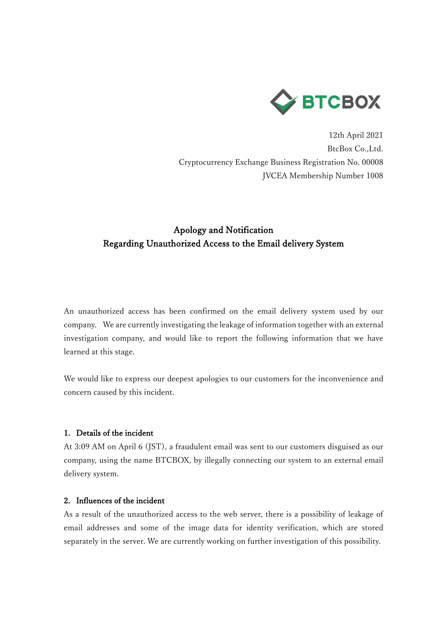

12th April 2021 BtcBox Co.,Ltd. Cryptocurrency Exchange Business Registration No. 00008 JVCEA Membership Number 1008

# Apology and Notification Regarding Unauthorized Access to the Email delivery System

An unauthorized access has been confirmed on the email delivery system used by our company. We are currently investigating the leakage of information together with an external investigation company, and would like to report the following information that we have learned at this stage.

We would like to express our deepest apologies to our customers for the inconvenience and concern caused by this incident.

# 1. Details of the incident

At 3:09 AM on April 6 (JST), a fraudulent email was sent to our customers disguised as our company, using the name BTCBOX, by illegally connecting our system to an external email delivery system.

#### 2. Influences of the incident

As a result of the unauthorized access to the web server, there is a possibility of leakage of email addresses and some of the image data for identity verification, which are stored separately in the server. We are currently working on further investigation of this possibility.